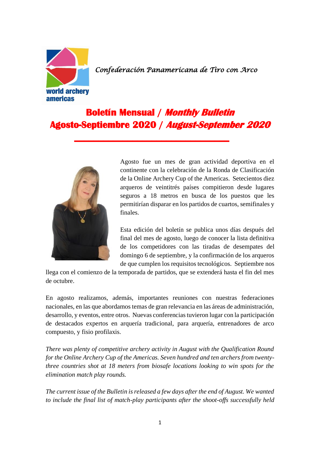

*Confederación Panamericana de Tiro con Arco* 

# **Boletín Mensual / Monthly Bulletin Agosto-Septiembre 2020 / August-September 2020**

**\_\_\_\_\_\_\_\_\_\_\_\_\_\_\_\_\_\_\_\_\_\_\_\_\_\_\_\_\_\_\_\_** 



Agosto fue un mes de gran actividad deportiva en el continente con la celebración de la Ronda de Clasificación de la Online Archery Cup of the Americas. Setecientos diez arqueros de veintitrés países compitieron desde lugares seguros a 18 metros en busca de los puestos que les permitirían disparar en los partidos de cuartos, semifinales y finales.

Esta edición del boletín se publica unos días después del final del mes de agosto, luego de conocer la lista definitiva de los competidores con las tiradas de desempates del domingo 6 de septiembre, y la confirmación de los arqueros de que cumplen los requisitos tecnológicos. Septiembre nos

llega con el comienzo de la temporada de partidos, que se extenderá hasta el fin del mes de octubre.

En agosto realizamos, además, importantes reuniones con nuestras federaciones nacionales, en las que abordamos temas de gran relevancia en las áreas de administración, desarrollo, y eventos, entre otros. Nuevas conferencias tuvieron lugar con la participación de destacados expertos en arquería tradicional, para arquería, entrenadores de arco compuesto, y fisio profilaxis.

*There was plenty of competitive archery activity in August with the Qualification Round for the Online Archery Cup of the Americas. Seven hundred and ten archers from twentythree countries shot at 18 meters from biosafe locations looking to win spots for the elimination match play rounds.*

*The current issue of the Bulletin is released a few days after the end of August. We wanted to include the final list of match-play participants after the shoot-offs successfully held*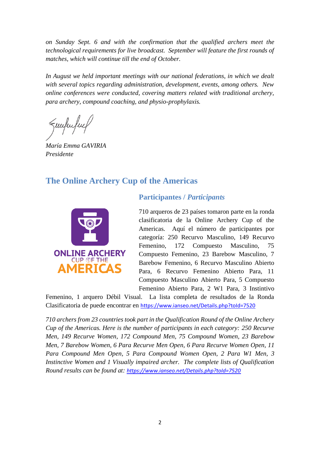*on Sunday Sept. 6 and with the confirmation that the qualified archers meet the technological requirements for live broadcast. September will feature the first rounds of matches, which will continue till the end of October.*

In August we held important meetings with our national federations, in which we dealt *with several topics regarding administration, development, events, among others. New online conferences were conducted, covering matters related with traditional archery, para archery, compound coaching, and physio-prophylaxis.* 

Zunfurfur

*María Emma GAVIRIA Presidente*

### **The Online Archery Cup of the Americas**



#### **Participantes /** *Participants*

710 arqueros de 23 países tomaron parte en la ronda clasificatoria de la Online Archery Cup of the Americas. Aquí el número de participantes por categoría: 250 Recurvo Masculino, 149 Recurvo Femenino, 172 Compuesto Masculino, 75 Compuesto Femenino, 23 Barebow Masculino, 7 Barebow Femenino, 6 Recurvo Masculino Abierto Para, 6 Recurvo Femenino Abierto Para, 11 Compuesto Masculino Abierto Para, 5 Compuesto Femenino Abierto Para, 2 W1 Para, 3 Instintivo

Femenino, 1 arquero Débil Visual. La lista completa de resultados de la Ronda Clasificatoria de puede encontrar en <https://www.ianseo.net/Details.php?toId=7520>

*710 archers from 23 countries took part in the Qualification Round of the Online Archery Cup of the Americas. Here is the number of participants in each category: 250 Recurve Men, 149 Recurve Women, 172 Compound Men, 75 Compound Women, 23 Barebow Men, 7 Barebow Women, 6 Para Recurve Men Open, 6 Para Recurve Women Open, 11 Para Compound Men Open, 5 Para Compound Women Open, 2 Para W1 Men, 3 Instinctive Women and 1 Visually impaired archer. The complete lists of Qualification Round results can be found at: <https://www.ianseo.net/Details.php?toId=7520>*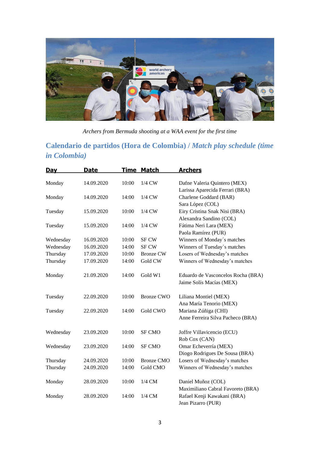

*Archers from Bermuda shooting at a WAA event for the first time*

### **Calendario de partidos (Hora de Colombia) /** *Match play schedule (time in Colombia)*

| <b>Day</b> | <b>Date</b> | Time  | <b>Match</b>      | <b>Archers</b>                     |
|------------|-------------|-------|-------------------|------------------------------------|
|            |             |       |                   |                                    |
| Monday     | 14.09.2020  | 10:00 | 1/4 CW            | Dafne Valeria Quintero (MEX)       |
|            |             |       |                   | Larissa Aparecida Ferrari (BRA)    |
| Monday     | 14.09.2020  | 14:00 | 1/4 CW            | Charlene Goddard (BAR)             |
|            |             |       |                   | Sara López (COL)                   |
| Tuesday    | 15.09.2020  | 10:00 | 1/4 CW            | Eiry Cristina Snak Nisi (BRA)      |
|            |             |       |                   | Alexandra Sandino (COL)            |
| Tuesday    | 15.09.2020  | 14:00 | $1/4$ CW          | Fátima Neri Lara (MEX)             |
|            |             |       |                   | Paola Ramírez (PUR)                |
| Wednesday  | 16.09.2020  | 10:00 | <b>SF CW</b>      | Winners of Monday's matches        |
| Wednesday  | 16.09.2020  | 14:00 | <b>SF CW</b>      | Winners of Tuesday's matches       |
| Thursday   | 17.09.2020  | 10:00 | <b>Bronze CW</b>  | Losers of Wednesday's matches      |
| Thursday   | 17.09.2020  | 14:00 | Gold CW           | Winners of Wednesday's matches     |
|            |             |       |                   |                                    |
| Monday     | 21.09.2020  | 14:00 | Gold W1           | Eduardo de Vasconcelos Rocha (BRA) |
|            |             |       |                   | Jaime Solís Macías (MEX)           |
| Tuesday    | 22.09.2020  | 10:00 | <b>Bronze CWO</b> | Liliana Montiel (MEX)              |
|            |             |       |                   | Ana María Tenorio (MEX)            |
| Tuesday    | 22.09.2020  | 14:00 | Gold CWO          | Mariana Zúñiga (CHI)               |
|            |             |       |                   | Anne Ferreira Silva Pacheco (BRA)  |
|            |             |       |                   |                                    |
| Wednesday  | 23.09.2020  | 10:00 | <b>SF CMO</b>     | Joffre Villavicencio (ECU)         |
|            |             |       |                   | Rob Cox (CAN)                      |
| Wednesday  | 23.09.2020  | 14:00 | <b>SF CMO</b>     | Omar Echeverría (MEX)              |
|            |             |       |                   | Diogo Rodrigues De Sousa (BRA)     |
| Thursday   | 24.09.2020  | 10:00 | <b>Bronze CMO</b> | Losers of Wednesday's matches      |
| Thursday   | 24.09.2020  | 14:00 | Gold CMO          | Winners of Wednesday's matches     |
|            |             |       |                   |                                    |
| Monday     | 28.09.2020  | 10:00 | $1/4$ CM          | Daniel Muñoz (COL)                 |
|            |             |       |                   | Maximiliano Cabral Favoreto (BRA)  |
| Monday     | 28.09.2020  | 14:00 | 1/4 CM            | Rafael Kenji Kawakani (BRA)        |
|            |             |       |                   | Jean Pizarro (PUR)                 |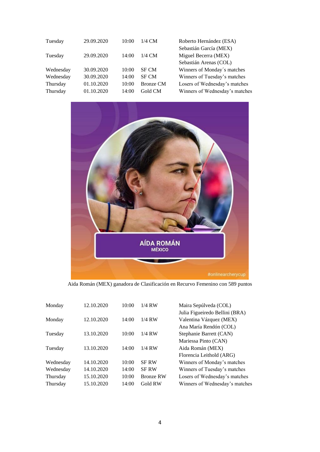| Tuesday   | 29.09.2020 | 10:00 | $1/4$ CM         | Roberto Hernández (ESA)<br>Sebastián García (MEX) |
|-----------|------------|-------|------------------|---------------------------------------------------|
| Tuesday   | 29.09.2020 | 14:00 | $1/4$ CM         | Miguel Becerra (MEX)                              |
|           |            |       |                  | Sebastián Arenas (COL)                            |
| Wednesday | 30.09.2020 | 10:00 | <b>SF CM</b>     | Winners of Monday's matches                       |
| Wednesday | 30.09.2020 | 14:00 | <b>SF CM</b>     | Winners of Tuesday's matches                      |
| Thursday  | 01.10.2020 | 10:00 | <b>Bronze CM</b> | Losers of Wednesday's matches                     |
| Thursday  | 01.10.2020 | 14:00 | Gold CM          | Winners of Wednesday's matches                    |
|           |            |       |                  |                                                   |



Aida Román (MEX) ganadora de Clasificación en Recurvo Femenino con 589 puntos

| Monday    | 12.10.2020 | 10:00 | $1/4$ RW         | Maira Sepúlveda (COL)          |
|-----------|------------|-------|------------------|--------------------------------|
|           |            |       |                  | Julia Figueiredo Bellini (BRA) |
| Monday    | 12.10.2020 | 14:00 | $1/4$ RW         | Valentina Vázquez (MEX)        |
|           |            |       |                  | Ana María Rendón (COL)         |
| Tuesday   | 13.10.2020 | 10:00 | $1/4$ RW         | Stephanie Barrett (CAN)        |
|           |            |       |                  | Mariessa Pinto (CAN)           |
| Tuesday   | 13.10.2020 | 14:00 | $1/4$ RW         | Aida Román (MEX)               |
|           |            |       |                  | Florencia Leithold (ARG)       |
| Wednesday | 14.10.2020 | 10:00 | <b>SF RW</b>     | Winners of Monday's matches    |
| Wednesday | 14.10.2020 | 14:00 | <b>SF RW</b>     | Winners of Tuesday's matches   |
| Thursday  | 15.10.2020 | 10:00 | <b>Bronze RW</b> | Losers of Wednesday's matches  |
| Thursday  | 15.10.2020 | 14:00 | <b>Gold RW</b>   | Winners of Wednesday's matches |
|           |            |       |                  |                                |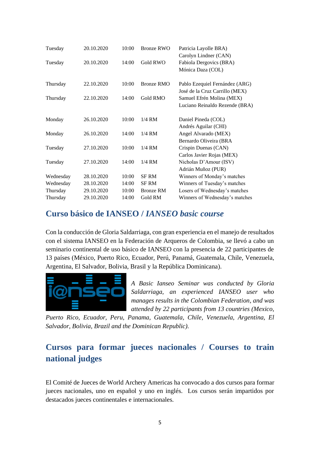| 20.10.2020 | 10:00      | <b>Bronze RWO</b> | Patricia Layolle BRA)<br>Carolyn Lindner (CAN) |
|------------|------------|-------------------|------------------------------------------------|
| 20.10.2020 | 14:00      | Gold RWO          | Fabiola Dergovics (BRA)                        |
|            |            |                   | Mónica Daza (COL)                              |
| 22.10.2020 | 10:00      | <b>Bronze RMO</b> | Pablo Ezequiel Fernández (ARG)                 |
|            |            |                   | José de la Cruz Carrillo (MEX)                 |
|            | 14:00      |                   | Samuel Efrén Molina (MEX)                      |
|            |            |                   | Luciano Reinaldo Rezende (BRA)                 |
| 26.10.2020 | 10:00      | $1/4$ RM          | Daniel Pineda (COL)                            |
|            |            |                   | Andrés Aguilar (CHI)                           |
| 26.10.2020 | 14:00      | $1/4$ RM          | Angel Alvarado (MEX)                           |
|            |            |                   | Bernardo Oliveira (BRA                         |
| 27.10.2020 | 10:00      | $1/4$ RM          | Crispin Duenas (CAN)                           |
|            |            |                   | Carlos Javier Rojas (MEX)                      |
| 27.10.2020 | 14:00      | $1/4$ RM          | Nicholas D'Amour (ISV)                         |
|            |            |                   | Adrián Muñoz (PUR)                             |
| 28.10.2020 | 10:00      | <b>SF RM</b>      | Winners of Monday's matches                    |
| 28.10.2020 | 14:00      | <b>SF RM</b>      | Winners of Tuesday's matches                   |
| 29.10.2020 | 10:00      | <b>Bronze RM</b>  | Losers of Wednesday's matches                  |
| 29.10.2020 | 14:00      | Gold RM           | Winners of Wednesday's matches                 |
|            | 22.10.2020 |                   | <b>Gold RMO</b>                                |

#### **Curso básico de IANSEO /** *IANSEO basic course*

Con la conducción de Gloria Saldarriaga, con gran experiencia en el manejo de resultados con el sistema IANSEO en la Federación de Arqueros de Colombia, se llevó a cabo un seminario continental de uso básico de IANSEO con la presencia de 22 participantes de 13 países (México, Puerto Rico, Ecuador, Perú, Panamá, Guatemala, Chile, Venezuela, Argentina, El Salvador, Bolivia, Brasil y la República Dominicana).



*A Basic Ianseo Seminar was conducted by Gloria Saldarriaga, an experienced IANSEO user who manages results in the Colombian Federation, and was attended by 22 participants from 13 countries (Mexico,* 

*Puerto Rico, Ecuador, Peru, Panama, Guatemala, Chile, Venezuela, Argentina, El Salvador, Bolivia, Brazil and the Dominican Republic).*

### **Cursos para formar jueces nacionales / Courses to train national judges**

El Comité de Jueces de World Archery Americas ha convocado a dos cursos para formar jueces nacionales, uno en español y uno en inglés. Los cursos serán impartidos por destacados jueces continentales e internacionales.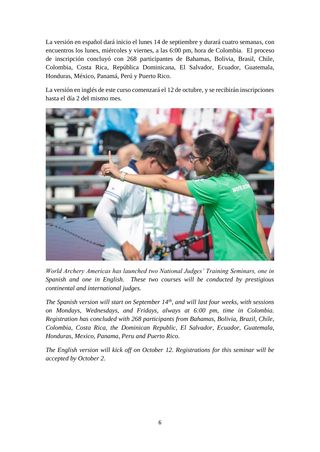La versión en español dará inicio el lunes 14 de septiembre y durará cuatro semanas, con encuentros los lunes, miércoles y viernes, a las 6:00 pm, hora de Colombia. El proceso de inscripción concluyó con 268 participantes de Bahamas, Bolivia, Brasil, Chile, Colombia, Costa Rica, República Dominicana, El Salvador, Ecuador, Guatemala, Honduras, México, Panamá, Perú y Puerto Rico.

La versión en inglés de este curso comenzará el 12 de octubre, y se recibirán inscripciones hasta el día 2 del mismo mes.



*World Archery Americas has launched two National Judges' Training Seminars, one in Spanish and one in English. These two courses will be conducted by prestigious continental and international judges.* 

*The Spanish version will start on September 14th, and will last four weeks, with sessions on Mondays, Wednesdays, and Fridays, always at 6:00 pm, time in Colombia. Registration has concluded with 268 participants from Bahamas, Bolivia, Brazil, Chile, Colombia, Costa Rica, the Dominican Republic, El Salvador, Ecuador, Guatemala, Honduras, Mexico, Panama, Peru and Puerto Rico.* 

*The English version will kick off on October 12. Registrations for this seminar will be accepted by October 2.*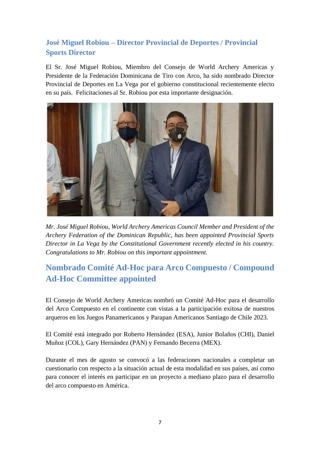#### **José Miguel Robiou – Director Provincial de Deportes / Provincial Sports Director**

El Sr. José Miguel Robiou, Miembro del Consejo de World Archery Americas y Presidente de la Federación Dominicana de Tiro con Arco, ha sido nombrado Director Provincial de Deportes en La Vega por el gobierno constitucional recientemente electo en su país. Felicitaciones al Sr. Robiou por esta importante designación.



*Mr. José Miguel Robiou, World Archery Americas Council Member and President of the Archery Federation of the Dominican Republic, has been appointed Provincial Sports Director in La Vega by the Constitutional Government recently elected in his country. Congratulations to Mr. Robiou on this important appointment.*

## **Nombrado Comité Ad-Hoc para Arco Compuesto / Compound Ad-Hoc Committee appointed**

El Consejo de World Archery Americas nombró un Comité Ad-Hoc para el desarrollo del Arco Compuesto en el continente con vistas a la participación exitosa de nuestros arqueros en los Juegos Panamericanos y Parapan Americanos Santiago de Chile 2023.

El Comité está integrado por Roberto Hernández (ESA), Junior Bolaños (CHI), Daniel Muñoz (COL), Gary Hernández (PAN) y Fernando Becerra (MEX).

Durante el mes de agosto se convocó a las federaciones nacionales a completar un cuestionario con respecto a la situación actual de esta modalidad en sus países, así como para conocer el interés en participar en un proyecto a mediano plazo para el desarrollo del arco compuesto en América.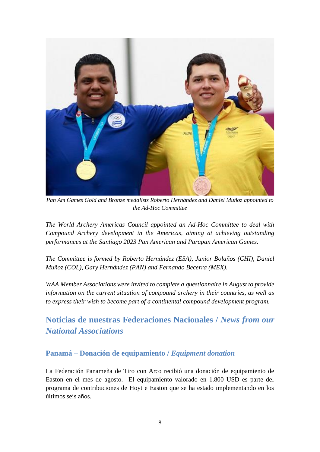

*Pan Am Games Gold and Bronze medalists Roberto Hernández and Daniel Muñoz appointed to the Ad-Hoc Committee*

*The World Archery Americas Council appointed an Ad-Hoc Committee to deal with Compound Archery development in the Americas, aiming at achieving outstanding performances at the Santiago 2023 Pan American and Parapan American Games.*

*The Committee is formed by Roberto Hernández (ESA), Junior Bolaños (CHI), Daniel Muñoz (COL), Gary Hernández (PAN) and Fernando Becerra (MEX).*

*WAA Member Associations were invited to complete a questionnaire in August to provide information on the current situation of compound archery in their countries, as well as to express their wish to become part of a continental compound development program.*

**Noticias de nuestras Federaciones Nacionales /** *News from our National Associations*

#### **Panamá – Donación de equipamiento /** *Equipment donation*

La Federación Panameña de Tiro con Arco recibió una donación de equipamiento de Easton en el mes de agosto. El equipamiento valorado en 1.800 USD es parte del programa de contribuciones de Hoyt e Easton que se ha estado implementando en los últimos seis años.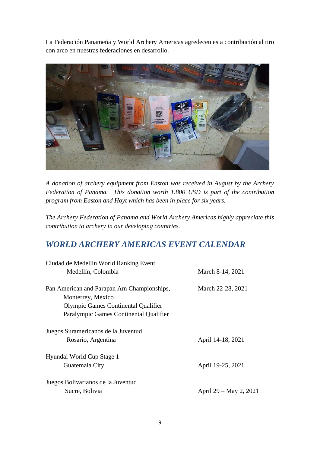La Federación Panameña y World Archery Americas agredecen esta contribución al tiro con arco en nuestras federaciones en desarrollo.



*A donation of archery equipment from Easton was received in August by the Archery Federation of Panama. This donation worth 1.800 USD is part of the contribution program from Easton and Hoyt which has been in place for six years.*

*The Archery Federation of Panama and World Archery Americas highly appreciate this contribution to archery in our developing countries.*

### *WORLD ARCHERY AMERICAS EVENT CALENDAR*

| Ciudad de Medellín World Ranking Event     |                        |
|--------------------------------------------|------------------------|
| Medellín, Colombia                         | March 8-14, 2021       |
| Pan American and Parapan Am Championships, | March 22-28, 2021      |
| Monterrey, México                          |                        |
| <b>Olympic Games Continental Qualifier</b> |                        |
| Paralympic Games Continental Qualifier     |                        |
| Juegos Suramericanos de la Juventud        |                        |
| Rosario, Argentina                         | April 14-18, 2021      |
| Hyundai World Cup Stage 1                  |                        |
| Guatemala City                             | April 19-25, 2021      |
| Juegos Bolivarianos de la Juventud         |                        |
| Sucre, Bolivia                             | April 29 – May 2, 2021 |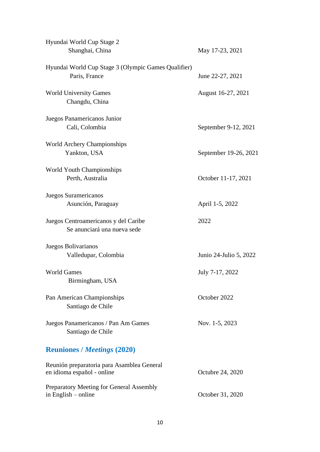| Hyundai World Cup Stage 2                           |                        |
|-----------------------------------------------------|------------------------|
| Shanghai, China                                     | May 17-23, 2021        |
| Hyundai World Cup Stage 3 (Olympic Games Qualifier) |                        |
| Paris, France                                       | June 22-27, 2021       |
| <b>World University Games</b>                       | August 16-27, 2021     |
| Changdu, China                                      |                        |
| Juegos Panamericanos Junior                         |                        |
| Cali, Colombia                                      | September 9-12, 2021   |
| World Archery Championships                         |                        |
| Yankton, USA                                        | September 19-26, 2021  |
| <b>World Youth Championships</b>                    |                        |
| Perth, Australia                                    | October 11-17, 2021    |
| Juegos Suramericanos                                |                        |
| Asunción, Paraguay                                  | April 1-5, 2022        |
| Juegos Centroamericanos y del Caribe                | 2022                   |
| Se anunciará una nueva sede                         |                        |
| Juegos Bolivarianos                                 |                        |
| Valledupar, Colombia                                | Junio 24-Julio 5, 2022 |
| <b>World Games</b>                                  | July 7-17, 2022        |
| Birmingham, USA                                     |                        |
| Pan American Championships                          | October 2022           |
| Santiago de Chile                                   |                        |
| Juegos Panamericanos / Pan Am Games                 | Nov. 1-5, 2023         |
| Santiago de Chile                                   |                        |
| <b>Reuniones / Meetings (2020)</b>                  |                        |
| Reunión preparatoria para Asamblea General          |                        |
| en idioma español - online                          | Octubre 24, 2020       |
| Preparatory Meeting for General Assembly            |                        |
| in English $-$ online                               | October 31, 2020       |